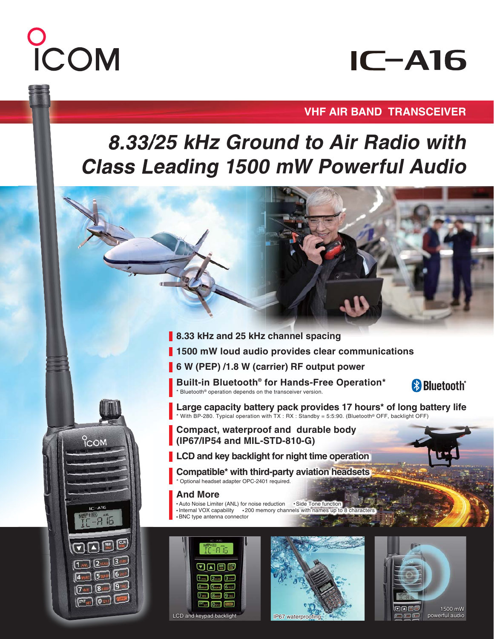# COM

**PCOM** 

m ENT<sub>SET</sub>

## **IC-A16**

### **VHF AIR BAND TRANSCEIVER**

### **8.33/25 kHz Ground to Air Radio with Class Leading 1500 mW Powerful Audio**

- **8.33 kHz and 25 kHz channel spacing**
- **1500 mW loud audio provides clear communications**
- **6 W (PEP) /1.8 W (carrier) RF output power**

**Built-in Bluetooth® for Hands-Free Operation\*** \* Bluetooth® operation depends on the transceiver version.



**Large capacity battery pack provides 17 hours\* of long battery life** \* With BP-280. Typical operation with TX : RX : Standby = 5:5:90. (Bluetooth® OFF, backlight OFF)

**Compact, waterproof and durable body (IP67/IP54 and MIL-STD-810-G)**

**LCD and key backlight for night time operation**

**Compatible\* with third-party aviation headsets**  \* Optional headset adapter OPC-2401 required.

### **And More**

**•** Auto Noise Limiter (ANL) for noise reduction **•** Side Tone function • Internal VOX capability • 200 memory channels with names up to 8 characters **•** BNC type antenna connector